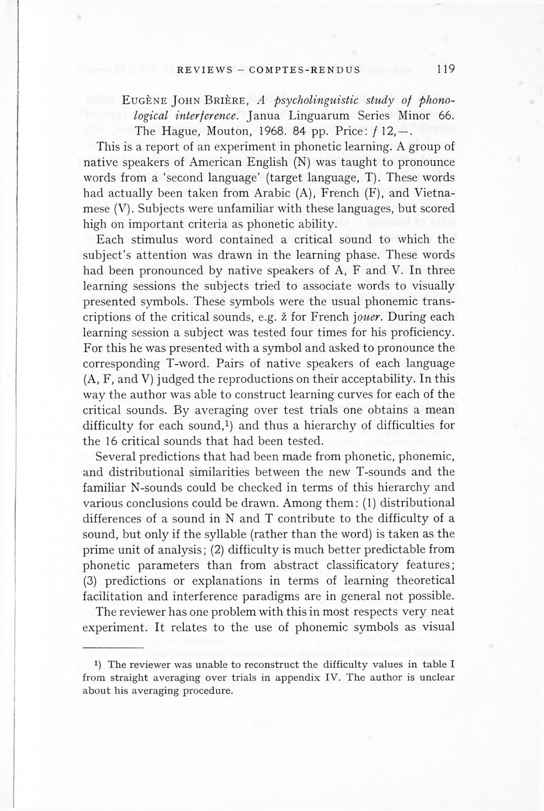## REVIEWS - COMPTES-RENDUS 119

EUGENE JOHN BRIERE, A psycholinguistic study of phono*logical interference*. Janua Linguarum Series Minor 66. The Hague, Mouton, 1968. 84 pp. Price:  $f$  12,  $-$ . This is a report of an experiment in phonetic learning. A group of native speakers of American English  $(N)$  was taught to pronounce words from a 'second language' (target language, T). These words

had actually been taken from Arabic  $(A)$ , French  $(F)$ , and Vietnamese  $(V)$ . Subjects were unfamiliar with these languages, but scored high on important criteria as phonetic ability.

<sup>1</sup>) The reviewer was unable to reconstruct the difficulty values in table I from straight averaging over trials in appendix IV. The author is unclear about his averaging procedure.

Each stimulus word contained a critical sound to which the subject's attention was drawn in the learning phase. These words had been pronounced by native speakers of A, F and V. In three learning sessions the subjects tried to associate words to visually presented symbols. These symbols were the usual phonemic transcriptions of the critical sounds, e.g. z for French j*oner.* During each learning session a subject was tested four times for his proficiency. For this he was presented with a symbol and asked to pronounce the corresponding T-word. Pairs of native speakers of each language (A, F, and V) judged the reproductions on their acceptability. In this way the author was able to construct learning curves for each of the critical sounds. By averaging over test trials one obtains a mean difficulty for each sound, $1$ ) and thus a hierarchy of difficulties for the 16 critical sounds that had been tested. Several predictions that had been made from phonetic, phonemic, and distributional similarities between the new T-sounds and the familiar N-sounds could be checked in terms of this hierarchy and various conclusions could be drawn. Among them: (1) distributional differences of a sound in N and T contribute to the difficulty of a sound, but only if the syllable (rather than the word) is taken as the prime unit of analysis; (2) difficulty is much better predictable from phonetic parameters than from abstract classificatory features; (3) predictions or explanations in terms of learning theoretical facilitation and interference paradigms are in general not possible. The reviewer has one problem with this in most respects very neat experiment. It relates to the use of phonemic symbols as visual